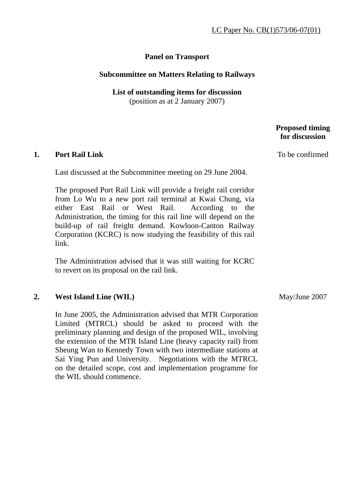## **Panel on Transport**

### **Subcommittee on Matters Relating to Railways**

# **List of outstanding items for discussion**

(position as at 2 January 2007)

### **1. Port Rail Link**

Last discussed at the Subcommittee meeting on 29 June 2004.

The proposed Port Rail Link will provide a freight rail corridor from Lo Wu to a new port rail terminal at Kwai Chung, via either East Rail or West Rail. According to the Administration, the timing for this rail line will depend on the build-up of rail freight demand. Kowloon-Canton Railway Corporation (KCRC) is now studying the feasibility of this rail link.

The Administration advised that it was still waiting for KCRC to revert on its proposal on the rail link.

#### **2. West Island Line (WIL)**

In June 2005, the Administration advised that MTR Corporation Limited (MTRCL) should be asked to proceed with the preliminary planning and design of the proposed WIL, involving the extension of the MTR Island Line (heavy capacity rail) from Sheung Wan to Kennedy Town with two intermediate stations at Sai Ying Pun and University. Negotiations with the MTRCL on the detailed scope, cost and implementation programme for the WIL should commence.

To be confirmed

 **Proposed timing for discussion** 

May/June 2007